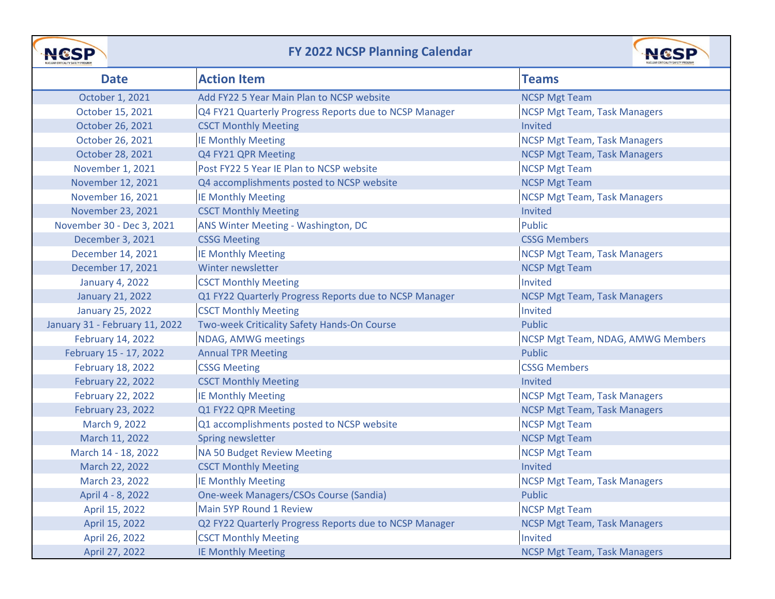

## **FY 2022 NCSP Planning Calendar**



| <b>Date</b>                    | <b>Action Item</b>                                     | <b>Teams</b>                        |
|--------------------------------|--------------------------------------------------------|-------------------------------------|
| October 1, 2021                | Add FY22 5 Year Main Plan to NCSP website              | <b>NCSP Mgt Team</b>                |
| October 15, 2021               | Q4 FY21 Quarterly Progress Reports due to NCSP Manager | <b>NCSP Mgt Team, Task Managers</b> |
| October 26, 2021               | <b>CSCT Monthly Meeting</b>                            | Invited                             |
| October 26, 2021               | <b>IE Monthly Meeting</b>                              | <b>NCSP Mgt Team, Task Managers</b> |
| October 28, 2021               | Q4 FY21 QPR Meeting                                    | <b>NCSP Mgt Team, Task Managers</b> |
| November 1, 2021               | Post FY22 5 Year IE Plan to NCSP website               | <b>NCSP Mgt Team</b>                |
| November 12, 2021              | Q4 accomplishments posted to NCSP website              | <b>NCSP Mgt Team</b>                |
| November 16, 2021              | <b>IE Monthly Meeting</b>                              | <b>NCSP Mgt Team, Task Managers</b> |
| November 23, 2021              | <b>CSCT Monthly Meeting</b>                            | Invited                             |
| November 30 - Dec 3, 2021      | ANS Winter Meeting - Washington, DC                    | <b>Public</b>                       |
| December 3, 2021               | <b>CSSG Meeting</b>                                    | <b>CSSG Members</b>                 |
| December 14, 2021              | <b>IE Monthly Meeting</b>                              | <b>NCSP Mgt Team, Task Managers</b> |
| December 17, 2021              | Winter newsletter                                      | <b>NCSP Mgt Team</b>                |
| <b>January 4, 2022</b>         | <b>CSCT Monthly Meeting</b>                            | Invited                             |
| <b>January 21, 2022</b>        | Q1 FY22 Quarterly Progress Reports due to NCSP Manager | <b>NCSP Mgt Team, Task Managers</b> |
| <b>January 25, 2022</b>        | <b>CSCT Monthly Meeting</b>                            | Invited                             |
| January 31 - February 11, 2022 | Two-week Criticality Safety Hands-On Course            | <b>Public</b>                       |
| February 14, 2022              | NDAG, AMWG meetings                                    | NCSP Mgt Team, NDAG, AMWG Members   |
| February 15 - 17, 2022         | <b>Annual TPR Meeting</b>                              | <b>Public</b>                       |
| <b>February 18, 2022</b>       | <b>CSSG Meeting</b>                                    | <b>CSSG Members</b>                 |
| <b>February 22, 2022</b>       | <b>CSCT Monthly Meeting</b>                            | Invited                             |
| <b>February 22, 2022</b>       | <b>IE Monthly Meeting</b>                              | <b>NCSP Mgt Team, Task Managers</b> |
| <b>February 23, 2022</b>       | Q1 FY22 QPR Meeting                                    | <b>NCSP Mgt Team, Task Managers</b> |
| March 9, 2022                  | Q1 accomplishments posted to NCSP website              | <b>NCSP Mgt Team</b>                |
| March 11, 2022                 | Spring newsletter                                      | <b>NCSP Mgt Team</b>                |
| March 14 - 18, 2022            | NA 50 Budget Review Meeting                            | <b>NCSP Mgt Team</b>                |
| March 22, 2022                 | <b>CSCT Monthly Meeting</b>                            | Invited                             |
| March 23, 2022                 | <b>IE Monthly Meeting</b>                              | <b>NCSP Mgt Team, Task Managers</b> |
| April 4 - 8, 2022              | One-week Managers/CSOs Course (Sandia)                 | Public                              |
| April 15, 2022                 | Main 5YP Round 1 Review                                | <b>NCSP Mgt Team</b>                |
| April 15, 2022                 | Q2 FY22 Quarterly Progress Reports due to NCSP Manager | <b>NCSP Mgt Team, Task Managers</b> |
| April 26, 2022                 | <b>CSCT Monthly Meeting</b>                            | Invited                             |
| April 27, 2022                 | <b>IE Monthly Meeting</b>                              | <b>NCSP Mgt Team, Task Managers</b> |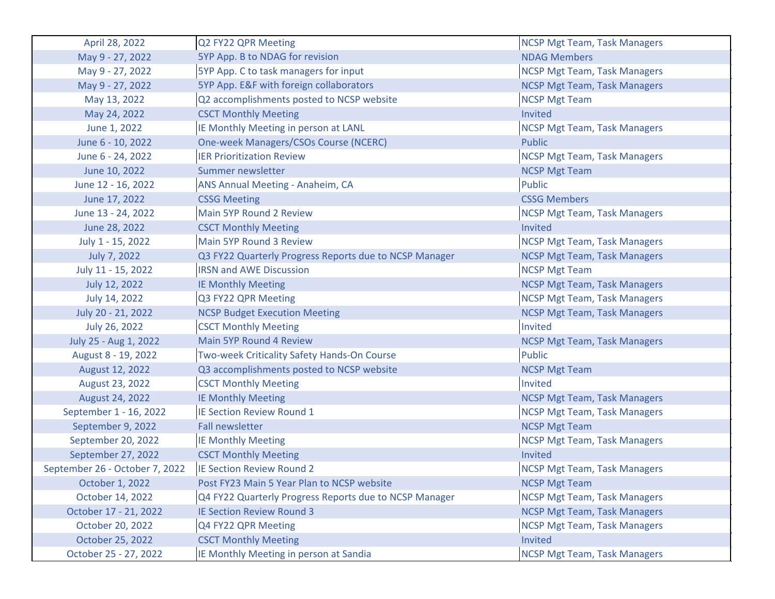| April 28, 2022                 | Q2 FY22 QPR Meeting                                    | <b>NCSP Mgt Team, Task Managers</b> |
|--------------------------------|--------------------------------------------------------|-------------------------------------|
| May 9 - 27, 2022               | 5YP App. B to NDAG for revision                        | <b>NDAG Members</b>                 |
| May 9 - 27, 2022               | 5YP App. C to task managers for input                  | <b>NCSP Mgt Team, Task Managers</b> |
| May 9 - 27, 2022               | 5YP App. E&F with foreign collaborators                | <b>NCSP Mgt Team, Task Managers</b> |
| May 13, 2022                   | Q2 accomplishments posted to NCSP website              | <b>NCSP Mgt Team</b>                |
| May 24, 2022                   | <b>CSCT Monthly Meeting</b>                            | <b>Invited</b>                      |
| June 1, 2022                   | IE Monthly Meeting in person at LANL                   | <b>NCSP Mgt Team, Task Managers</b> |
| June 6 - 10, 2022              | <b>One-week Managers/CSOs Course (NCERC)</b>           | <b>Public</b>                       |
| June 6 - 24, 2022              | <b>IER Prioritization Review</b>                       | <b>NCSP Mgt Team, Task Managers</b> |
| June 10, 2022                  | Summer newsletter                                      | <b>NCSP Mgt Team</b>                |
| June 12 - 16, 2022             | ANS Annual Meeting - Anaheim, CA                       | Public                              |
| June 17, 2022                  | <b>CSSG Meeting</b>                                    | <b>CSSG Members</b>                 |
| June 13 - 24, 2022             | Main 5YP Round 2 Review                                | <b>NCSP Mgt Team, Task Managers</b> |
| June 28, 2022                  | <b>CSCT Monthly Meeting</b>                            | Invited                             |
| July 1 - 15, 2022              | Main 5YP Round 3 Review                                | <b>NCSP Mgt Team, Task Managers</b> |
| July 7, 2022                   | Q3 FY22 Quarterly Progress Reports due to NCSP Manager | <b>NCSP Mgt Team, Task Managers</b> |
| July 11 - 15, 2022             | <b>IRSN and AWE Discussion</b>                         | <b>NCSP Mgt Team</b>                |
| July 12, 2022                  | <b>IE Monthly Meeting</b>                              | <b>NCSP Mgt Team, Task Managers</b> |
| July 14, 2022                  | Q3 FY22 QPR Meeting                                    | <b>NCSP Mgt Team, Task Managers</b> |
| July 20 - 21, 2022             | <b>NCSP Budget Execution Meeting</b>                   | <b>NCSP Mgt Team, Task Managers</b> |
| July 26, 2022                  | <b>CSCT Monthly Meeting</b>                            | Invited                             |
| July 25 - Aug 1, 2022          | Main 5YP Round 4 Review                                | <b>NCSP Mgt Team, Task Managers</b> |
| August 8 - 19, 2022            | Two-week Criticality Safety Hands-On Course            | Public                              |
| August 12, 2022                | Q3 accomplishments posted to NCSP website              | <b>NCSP Mgt Team</b>                |
| August 23, 2022                | <b>CSCT Monthly Meeting</b>                            | Invited                             |
| August 24, 2022                | <b>IE Monthly Meeting</b>                              | <b>NCSP Mgt Team, Task Managers</b> |
| September 1 - 16, 2022         | IE Section Review Round 1                              | <b>NCSP Mgt Team, Task Managers</b> |
| September 9, 2022              | <b>Fall newsletter</b>                                 | <b>NCSP Mgt Team</b>                |
| September 20, 2022             | <b>IE Monthly Meeting</b>                              | <b>NCSP Mgt Team, Task Managers</b> |
| September 27, 2022             | <b>CSCT Monthly Meeting</b>                            | <b>Invited</b>                      |
| September 26 - October 7, 2022 | <b>IE Section Review Round 2</b>                       | <b>NCSP Mgt Team, Task Managers</b> |
| October 1, 2022                | Post FY23 Main 5 Year Plan to NCSP website             | <b>NCSP Mgt Team</b>                |
| October 14, 2022               | Q4 FY22 Quarterly Progress Reports due to NCSP Manager | <b>NCSP Mgt Team, Task Managers</b> |
| October 17 - 21, 2022          | <b>IE Section Review Round 3</b>                       | <b>NCSP Mgt Team, Task Managers</b> |
| October 20, 2022               | Q4 FY22 QPR Meeting                                    | <b>NCSP Mgt Team, Task Managers</b> |
| October 25, 2022               | <b>CSCT Monthly Meeting</b>                            | <b>Invited</b>                      |
| October 25 - 27, 2022          | IE Monthly Meeting in person at Sandia                 | <b>NCSP Mgt Team, Task Managers</b> |